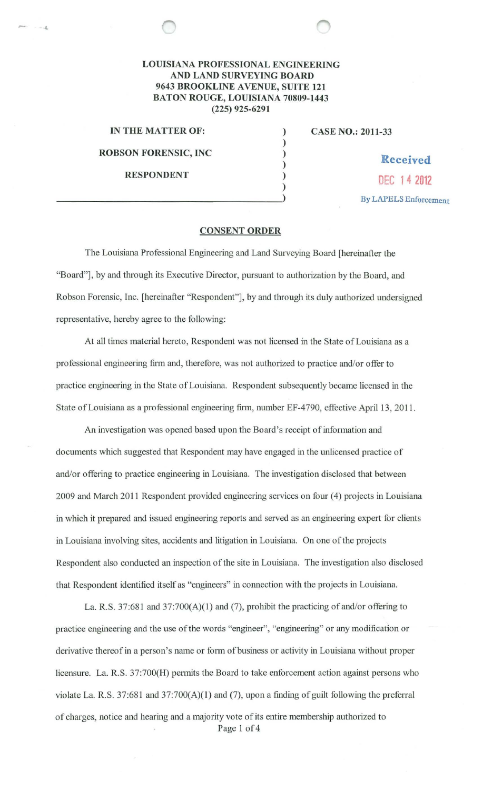## **LOUISIANA PROFESSIONAL ENGINEERING AND LAND SURVEYING BOARD 9643 BROOKLINE AVENUE, SUITE 121 BATON ROUGE, LOUISIANA 70809-1443 (225) 925-6291**

) ) ) )

)

**IN THE MATTER OF:** )

**ROBSON FORENSIC, INC**  $\qquad$  **Received** 

**CASE NO.: 2011-33** 

**RESPONDENT**  $\begin{array}{c} \text{DEC 14 2012} \\ \text{DEC 14 2012} \end{array}$ 

## **CONSENT ORDER**

The Louisiana Professional Engineering and Land Surveying Board [hereinafter the "Board"], by and through its Executive Director, pursuant to authorization by the Board, and Robson Forensic, Inc. [hereinafter "Respondent"], by and through its duly authorized undersigned representative, hereby agree to the following:

At all times material hereto, Respondent was not licensed in the State of Louisiana as a professional engineering firm and, therefore, was not authorized to practice and/or offer to practice engineering in the State of Louisiana. Respondent subsequently became licensed in the State of Louisiana as a professional engineering firm, number EF-4790, effective April 13, 2011.

An investigation was opened based upon the Board's receipt of information and documents which suggested that Respondent may have engaged in the unlicensed practice of and/or offering to practice engineering in Louisiana. The investigation disclosed that between 2009 and March 2011 Respondent provided engineering services on four (4) projects in Louisiana in which it prepared and issued engineering reports and served as an engineering expert for clients in Louisiana involving sites, accidents and litigation in Louisiana. On one ofthe projects Respondent also conducted an inspection of the site in Louisiana. The investigation also disclosed that Respondent identified itself as "engineers" in connection with the projects in Louisiana.

La. R.S. 37:681 and 37:700(A)(l) and (7), prohibit the practicing of and/or offering to practice engineering and the use of the words "engineer", "engineering" or any modification or derivative thereof in a person's name or form of business or activity in Louisiana without proper licensure. La. R.S. 37:700(H) permits the Board to take enforcement action against persons who violate La. R.S. 37:681 and  $37:700(A)(1)$  and (7), upon a finding of guilt following the preferral of charges, notice and hearing and a majority vote of its entire membership authorized to Page 1 of 4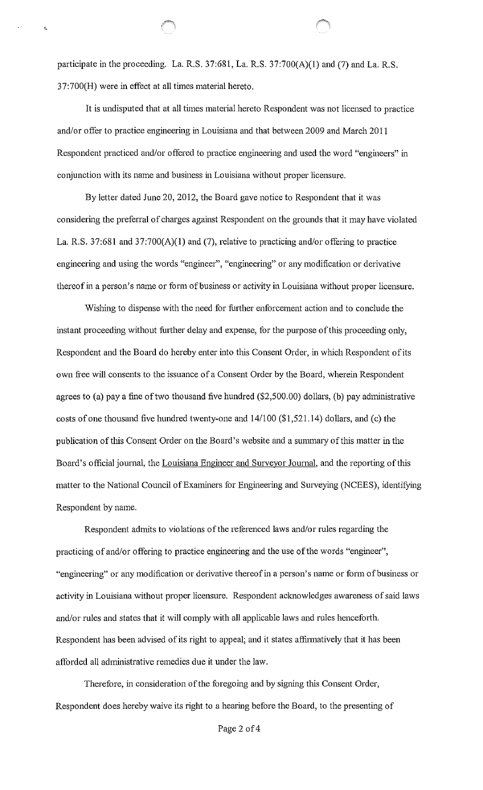participate in the proceeding. La. R.S. 37:681, La. R.S. 37:700(A)(1) and (7) and La. R.S. 37:700(H) were in effect at all times material hereto.

It is undisputed that at all times material hereto Respondent was not licensed to practice and/or offer to practice engineering in Louisiana and that between 2009 and March 2011 Respondent practiced and/or offered to practice engineering and used the word "engineers" in conjunction with its name and business in Louisiana without proper licensure.

By letter dated June 20, 2012, the Board gave notice to Respondent that it was considering the preferral of charges against Respondent on the grounds that it may have violated La. R.S. 37:681 and 37:700(A)(1) and (7), relative to practicing and/or offering to practice engineering and using the words "engineer", "engineering" or any modification or derivative thereof in a person's name or form of business or activity in Louisiana without proper licensure.

Wishing to dispense with the need for further enforcement action and to conclude the instant proceeding without further delay and expense, for the purpose of this proceeding only, Respondent and the Board do hereby enter into this Consent Order, in which Respondent of its own free will consents to the issuance of a Consent Order by the Board, wherein Respondent agrees to (a) pay a fine of two thousand five hundred (\$2,500.00) dollars, (b) pay administrative costs of one thousand five hundred twenty-one and 141100 (\$1,521.14) dollars, and (c) the publication of this Consent Order on the Board's website and a summary of this matter in the Board's official journal, the Louisiana Engineer and Surveyor Journal, and the reporting of this matter to the National Council of Examiners for Engineering and Surveying (NCEES), identifying Respondent by name.

Respondent admits to violations of the referenced laws and/or rules regarding the practicing of and/or offering to practice engineering and the use of the words "engineer", "engineering" or any modification or derivative thereof in a person's name or form of business or activity in Louisiana without proper licensure. Respondent acknowledges awareness of said laws and/or rules and states that it will comply with all applicable laws and rules henceforth. Respondent has been advised of its right to appeal; and it states affirmatively that it has been afforded all administrative remedies due it under the law.

Therefore, in consideration of the foregoing and by signing this Consent Order, Respondent does hereby waive its right to a hearing before the Board, to the presenting of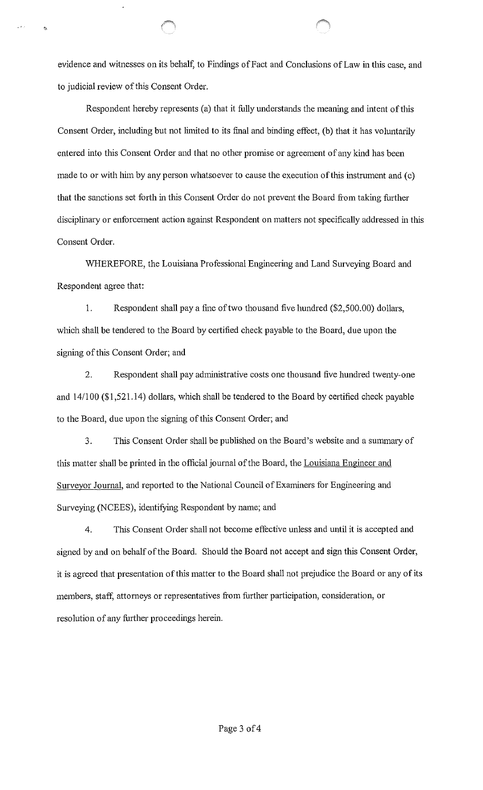evidence and witnesses on its behalf, to Findings of Fact and Conclusions of Law in this case, and to judicial review of this Consent Order.

 $\mathbf{r}$ 

Respondent hereby represents (a) that it fully understands the meaning and intent of this Consent Order, including but not limited to its final and binding effect, (b) that it has voluntarily entered into this Consent Order and that no other promise or agreement of any kind has been made to or with him by any person whatsoever to cause the execution of this instrument and (c) that the sanctions set forth in this Consent Order do not prevent the Board from taking further disciplinary or enforcement action against Respondent on matters not specifically addressed in this Consent Order.

WHEREFORE, the Louisiana Professional Engineering and Land Surveying Board and Respondent agree that:

1. Respondent shall pay a fine of two thousand five hundred (\$2,500.00) dollars, which shall be tendered to the Board by certified check payable to the Board, due upon the signing of this Consent Order; and

2. Respondent shall pay administrative costs one thousand five hundred twenty-one and 14/100 (\$1 ,521.14) dollars, which shall be tendered to the Board by certified check payable to the Board, due upon the signing of this Consent Order; and

3. Tllis Consent Order shall be published on the Board's website and a summary of this matter shall be printed in the official journal of the Board, the Louisiana Engineer and Surveyor Journal, and reported to the National Council of Examiners for Engineering and Surveying (NCEES), identifying Respondent by name; and

4. This Consent Order shall not become effective unless and until it is accepted and signed by and on behalf of the Board. Should the Board not accept and sign this Consent Order, it is agreed that presentation of this matter to the Board shall not prejudice the Board or any of its members, staff, attorneys or representatives from further participation, consideration, or resolution of any further proceedings herein.